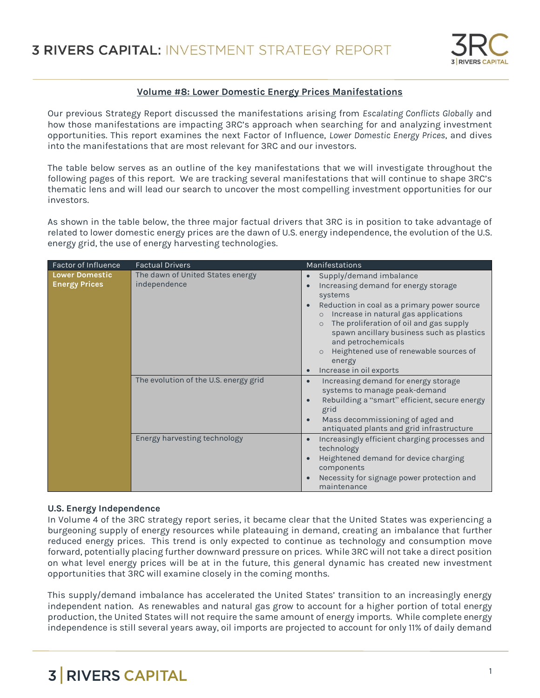

### **Volume #8: Lower Domestic Energy Prices Manifestations**

Our previous Strategy Report discussed the manifestations arising from *Escalating Conflicts Globally* and how those manifestations are impacting 3RC's approach when searching for and analyzing investment opportunities. This report examines the next Factor of Influence, *Lower Domestic Energy Prices*, and dives into the manifestations that are most relevant for 3RC and our investors.

The table below serves as an outline of the key manifestations that we will investigate throughout the following pages of this report. We are tracking several manifestations that will continue to shape 3RC's thematic lens and will lead our search to uncover the most compelling investment opportunities for our investors.

As shown in the table below, the three major factual drivers that 3RC is in position to take advantage of related to lower domestic energy prices are the dawn of U.S. energy independence, the evolution of the U.S. energy grid, the use of energy harvesting technologies.

| Factor of Influence                           | <b>Factual Drivers</b>                           | <b>Manifestations</b>                                                                                                                                                                                                                                                                                                                                                                                          |
|-----------------------------------------------|--------------------------------------------------|----------------------------------------------------------------------------------------------------------------------------------------------------------------------------------------------------------------------------------------------------------------------------------------------------------------------------------------------------------------------------------------------------------------|
| <b>Lower Domestic</b><br><b>Energy Prices</b> | The dawn of United States energy<br>independence | Supply/demand imbalance<br>Increasing demand for energy storage<br>$\bullet$<br>systems<br>Reduction in coal as a primary power source<br>$\bullet$<br>Increase in natural gas applications<br>$\circ$<br>The proliferation of oil and gas supply<br>$\circ$<br>spawn ancillary business such as plastics<br>and petrochemicals<br>Heightened use of renewable sources of<br>energy<br>Increase in oil exports |
|                                               | The evolution of the U.S. energy grid            | Increasing demand for energy storage<br>systems to manage peak-demand<br>Rebuilding a "smart" efficient, secure energy<br>grid<br>Mass decommissioning of aged and<br>antiquated plants and grid infrastructure                                                                                                                                                                                                |
|                                               | Energy harvesting technology                     | Increasingly efficient charging processes and<br>technology<br>Heightened demand for device charging<br>components<br>Necessity for signage power protection and<br>maintenance                                                                                                                                                                                                                                |

#### **U.S. Energy Independence**

In Volume 4 of the 3RC strategy report series, it became clear that the United States was experiencing a burgeoning supply of energy resources while plateauing in demand, creating an imbalance that further reduced energy prices. This trend is only expected to continue as technology and consumption move forward, potentially placing further downward pressure on prices. While 3RC will not take a direct position on what level energy prices will be at in the future, this general dynamic has created new investment opportunities that 3RC will examine closely in the coming months.

This supply/demand imbalance has accelerated the United States' transition to an increasingly energy independent nation. As renewables and natural gas grow to account for a higher portion of total energy production, the United States will not require the same amount of energy imports. While complete energy independence is still several years away, oil imports are projected to account for only 11% of daily demand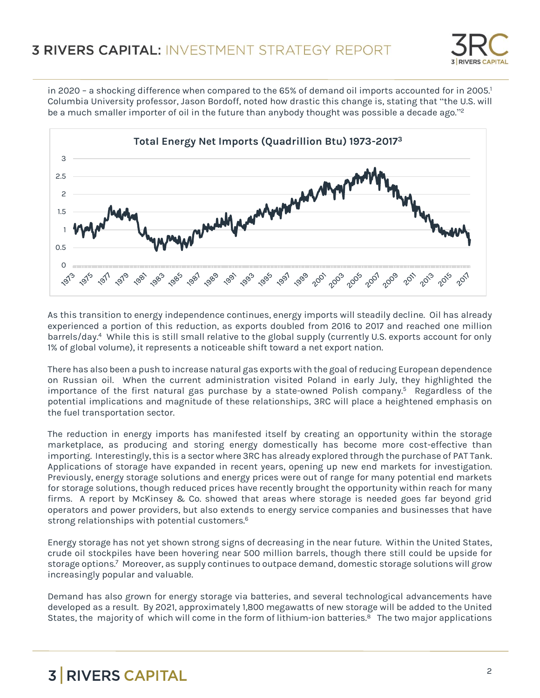

in 2020 – a shocking difference when compared to the 65% of demand oil imports accounted for in 2005.<sup>1</sup> Columbia University professor, Jason Bordoff, noted how drastic this change is, stating that "the U.S. will be a much smaller importer of oil in the future than anybody thought was possible a decade ago."<sup>2</sup>



As this transition to energy independence continues, energy imports will steadily decline. Oil has already experienced a portion of this reduction, as exports doubled from 2016 to 2017 and reached one million barrels/day. 4 While this is still small relative to the global supply (currently U.S. exports account for only 1% of global volume), it represents a noticeable shift toward a net export nation.

There has also been a push to increase natural gas exports with the goal of reducing European dependence on Russian oil. When the current administration visited Poland in early July, they highlighted the importance of the first natural gas purchase by a state-owned Polish company.<sup>5</sup> Regardless of the potential implications and magnitude of these relationships, 3RC will place a heightened emphasis on the fuel transportation sector.

The reduction in energy imports has manifested itself by creating an opportunity within the storage marketplace, as producing and storing energy domestically has become more cost-effective than importing. Interestingly, this is a sector where 3RC has already explored through the purchase of PAT Tank. Applications of storage have expanded in recent years, opening up new end markets for investigation. Previously, energy storage solutions and energy prices were out of range for many potential end markets for storage solutions, though reduced prices have recently brought the opportunity within reach for many firms. A report by McKinsey & Co. showed that areas where storage is needed goes far beyond grid operators and power providers, but also extends to energy service companies and businesses that have strong relationships with potential customers.<sup>6</sup>

Energy storage has not yet shown strong signs of decreasing in the near future. Within the United States, crude oil stockpiles have been hovering near 500 million barrels, though there still could be upside for storage options.<sup>7</sup> Moreover, as supply continues to outpace demand, domestic storage solutions will grow increasingly popular and valuable.

Demand has also grown for energy storage via batteries, and several technological advancements have developed as a result. By 2021, approximately 1,800 megawatts of new storage will be added to the United States, the majority of which will come in the form of lithium-ion batteries.<sup>8</sup> The two major applications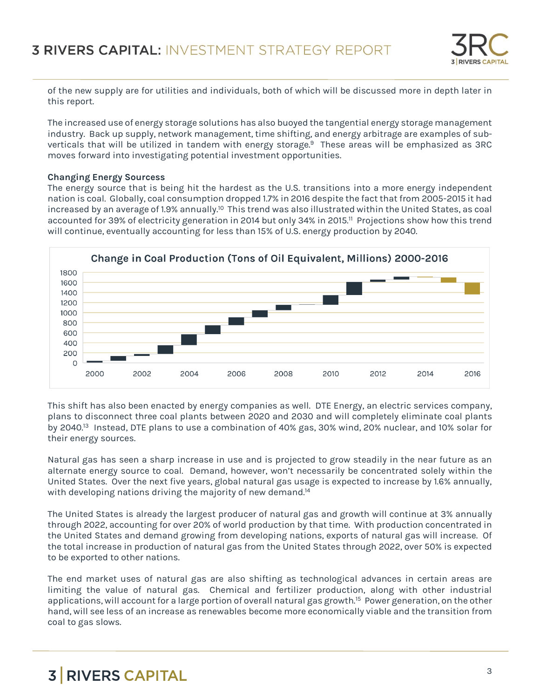

of the new supply are for utilities and individuals, both of which will be discussed more in depth later in this report.

The increased use of energy storage solutions has also buoyed the tangential energy storage management industry. Back up supply, network management, time shifting, and energy arbitrage are examples of subverticals that will be utilized in tandem with energy storage.<sup>9</sup> These areas will be emphasized as 3RC moves forward into investigating potential investment opportunities.

### **Changing Energy Sourcess**

The energy source that is being hit the hardest as the U.S. transitions into a more energy independent nation is coal. Globally, coal consumption dropped 1.7% in 2016 despite the fact that from 2005-2015 it had increased by an average of 1.9% annually.<sup>10</sup> This trend was also illustrated within the United States, as coal accounted for 39% of electricity generation in 2014 but only 34% in 2015.<sup>11</sup> Projections show how this trend will continue, eventually accounting for less than 15% of U.S. energy production by 2040.



This shift has also been enacted by energy companies as well. DTE Energy, an electric services company, plans to disconnect three coal plants between 2020 and 2030 and will completely eliminate coal plants by 2040.<sup>13</sup> Instead, DTE plans to use a combination of 40% gas, 30% wind, 20% nuclear, and 10% solar for their energy sources.

Natural gas has seen a sharp increase in use and is projected to grow steadily in the near future as an alternate energy source to coal. Demand, however, won't necessarily be concentrated solely within the United States. Over the next five years, global natural gas usage is expected to increase by 1.6% annually, with developing nations driving the majority of new demand.<sup>14</sup>

The United States is already the largest producer of natural gas and growth will continue at 3% annually through 2022, accounting for over 20% of world production by that time. With production concentrated in the United States and demand growing from developing nations, exports of natural gas will increase. Of the total increase in production of natural gas from the United States through 2022, over 50% is expected to be exported to other nations.

The end market uses of natural gas are also shifting as technological advances in certain areas are limiting the value of natural gas. Chemical and fertilizer production, along with other industrial applications, will account for a large portion of overall natural gas growth.<sup>15</sup> Power generation, on the other hand, will see less of an increase as renewables become more economically viable and the transition from coal to gas slows.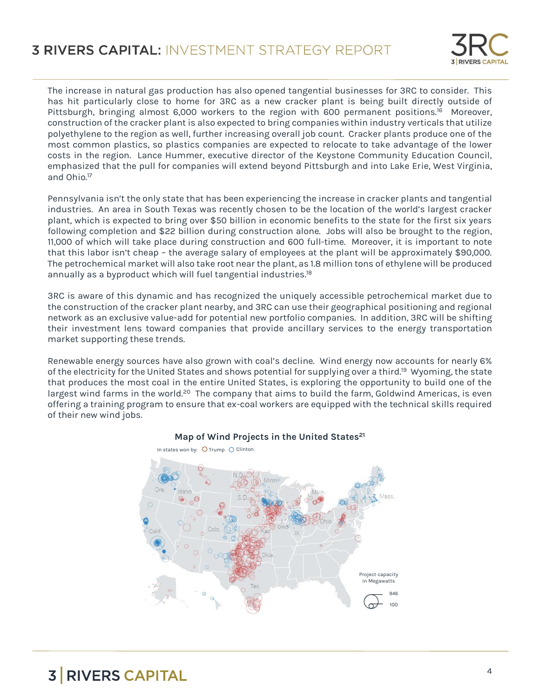

The increase in natural gas production has also opened tangential businesses for 3RC to consider. This has hit particularly close to home for 3RC as a new cracker plant is being built directly outside of Pittsburgh, bringing almost 6,000 workers to the region with 600 permanent positions.<sup>16</sup> Moreover, construction of the cracker plant is also expected to bring companies within industry verticals that utilize polyethylene to the region as well, further increasing overall job count. Cracker plants produce one of the most common plastics, so plastics companies are expected to relocate to take advantage of the lower costs in the region. Lance Hummer, executive director of the Keystone Community Education Council, emphasized that the pull for companies will extend beyond Pittsburgh and into Lake Erie, West Virginia, and Ohio.<sup>17</sup> 

Pennsylvania isn't the only state that has been experiencing the increase in cracker plants and tangential industries. An area in South Texas was recently chosen to be the location of the world's largest cracker plant, which is expected to bring over \$50 billion in economic benefits to the state for the first six years following completion and \$22 billion during construction alone. Jobs will also be brought to the region, 11,000 of which will take place during construction and 600 full-time. Moreover, it is important to note that this labor isn't cheap – the average salary of employees at the plant will be approximately \$90,000. The petrochemical market will also take root near the plant, as 1.8 million tons of ethylene will be produced annually as a byproduct which will fuel tangential industries.<sup>18</sup>

3RC is aware of this dynamic and has recognized the uniquely accessible petrochemical market due to the construction of the cracker plant nearby, and 3RC can use their geographical positioning and regional network as an exclusive value-add for potential new portfolio companies. In addition, 3RC will be shifting their investment lens toward companies that provide ancillary services to the energy transportation market supporting these trends.

Renewable energy sources have also grown with coal's decline. Wind energy now accounts for nearly 6% of the electricity for the United States and shows potential for supplying over a third.<sup>19</sup> Wyoming, the state that produces the most coal in the entire United States, is exploring the opportunity to build one of the largest wind farms in the world.<sup>20</sup> The company that aims to build the farm, Goldwind Americas, is even offering a training program to ensure that ex-coal workers are equipped with the technical skills required of their new wind jobs.



### **Map of Wind Projects in the United States<sup>21</sup>**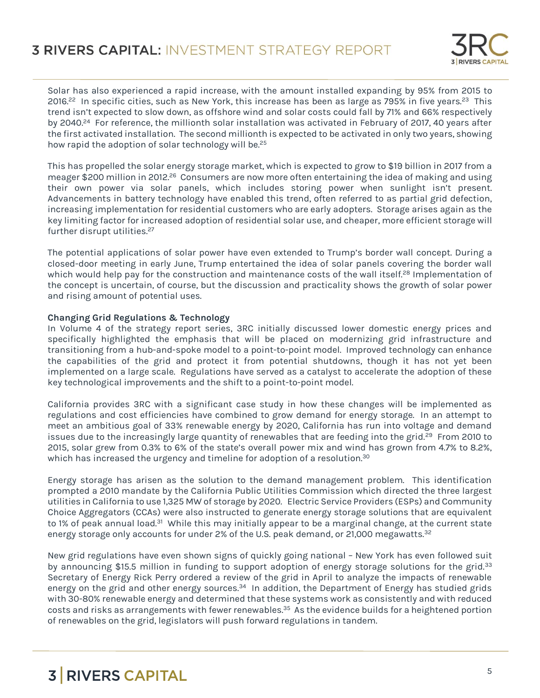

Solar has also experienced a rapid increase, with the amount installed expanding by 95% from 2015 to 2016.<sup>22</sup> In specific cities, such as New York, this increase has been as large as 795% in five years.<sup>23</sup> This trend isn't expected to slow down, as offshore wind and solar costs could fall by 71% and 66% respectively by 2040.<sup>24</sup> For reference, the millionth solar installation was activated in February of 2017, 40 years after the first activated installation. The second millionth is expected to be activated in only two years, showing how rapid the adoption of solar technology will be.<sup>25</sup>

This has propelled the solar energy storage market, which is expected to grow to \$19 billion in 2017 from a meager \$200 million in 2012.<sup>26</sup> Consumers are now more often entertaining the idea of making and using their own power via solar panels, which includes storing power when sunlight isn't present. Advancements in battery technology have enabled this trend, often referred to as partial grid defection, increasing implementation for residential customers who are early adopters. Storage arises again as the key limiting factor for increased adoption of residential solar use, and cheaper, more efficient storage will further disrupt utilities.<sup>27</sup>

The potential applications of solar power have even extended to Trump's border wall concept. During a closed-door meeting in early June, Trump entertained the idea of solar panels covering the border wall which would help pay for the construction and maintenance costs of the wall itself.<sup>28</sup> Implementation of the concept is uncertain, of course, but the discussion and practicality shows the growth of solar power and rising amount of potential uses.

### **Changing Grid Regulations & Technology**

In Volume 4 of the strategy report series, 3RC initially discussed lower domestic energy prices and specifically highlighted the emphasis that will be placed on modernizing grid infrastructure and transitioning from a hub-and-spoke model to a point-to-point model. Improved technology can enhance the capabilities of the grid and protect it from potential shutdowns, though it has not yet been implemented on a large scale. Regulations have served as a catalyst to accelerate the adoption of these key technological improvements and the shift to a point-to-point model.

California provides 3RC with a significant case study in how these changes will be implemented as regulations and cost efficiencies have combined to grow demand for energy storage. In an attempt to meet an ambitious goal of 33% renewable energy by 2020, California has run into voltage and demand issues due to the increasingly large quantity of renewables that are feeding into the grid.<sup>29</sup> From 2010 to 2015, solar grew from 0.3% to 6% of the state's overall power mix and wind has grown from 4.7% to 8.2%, which has increased the urgency and timeline for adoption of a resolution.<sup>30</sup>

Energy storage has arisen as the solution to the demand management problem. This identification prompted a 2010 mandate by the California Public Utilities Commission which directed the three largest utilities in California to use 1,325 MW of storage by 2020. Electric Service Providers (ESPs) and Community Choice Aggregators (CCAs) were also instructed to generate energy storage solutions that are equivalent to 1% of peak annual load.<sup>31</sup> While this may initially appear to be a marginal change, at the current state energy storage only accounts for under 2% of the U.S. peak demand, or 21,000 megawatts.<sup>32</sup>

New grid regulations have even shown signs of quickly going national – New York has even followed suit by announcing \$15.5 million in funding to support adoption of energy storage solutions for the grid.<sup>33</sup> Secretary of Energy Rick Perry ordered a review of the grid in April to analyze the impacts of renewable energy on the grid and other energy sources.<sup>34</sup> In addition, the Department of Energy has studied grids with 30-80% renewable energy and determined that these systems work as consistently and with reduced costs and risks as arrangements with fewer renewables.<sup>35</sup> As the evidence builds for a heightened portion of renewables on the grid, legislators will push forward regulations in tandem.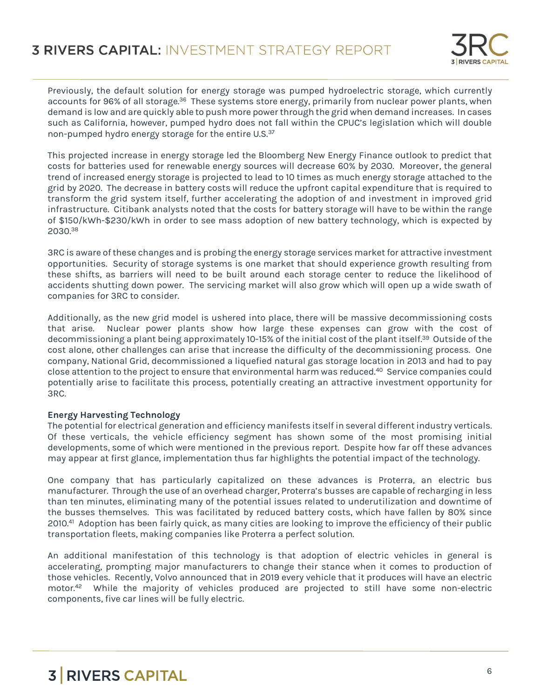

Previously, the default solution for energy storage was pumped hydroelectric storage, which currently accounts for 96% of all storage.<sup>36</sup> These systems store energy, primarily from nuclear power plants, when demand is low and are quickly able to push more power through the grid when demand increases. In cases such as California, however, pumped hydro does not fall within the CPUC's legislation which will double non-pumped hydro energy storage for the entire U.S.<sup>37</sup>

This projected increase in energy storage led the Bloomberg New Energy Finance outlook to predict that costs for batteries used for renewable energy sources will decrease 60% by 2030. Moreover, the general trend of increased energy storage is projected to lead to 10 times as much energy storage attached to the grid by 2020. The decrease in battery costs will reduce the upfront capital expenditure that is required to transform the grid system itself, further accelerating the adoption of and investment in improved grid infrastructure. Citibank analysts noted that the costs for battery storage will have to be within the range of \$150/kWh-\$230/kWh in order to see mass adoption of new battery technology, which is expected by 2030.<sup>38</sup>

3RC is aware of these changes and is probing the energy storage services market for attractive investment opportunities. Security of storage systems is one market that should experience growth resulting from these shifts, as barriers will need to be built around each storage center to reduce the likelihood of accidents shutting down power. The servicing market will also grow which will open up a wide swath of companies for 3RC to consider.

Additionally, as the new grid model is ushered into place, there will be massive decommissioning costs that arise. Nuclear power plants show how large these expenses can grow with the cost of decommissioning a plant being approximately 10-15% of the initial cost of the plant itself.<sup>39</sup> Outside of the cost alone, other challenges can arise that increase the difficulty of the decommissioning process. One company, National Grid, decommissioned a liquefied natural gas storage location in 2013 and had to pay close attention to the project to ensure that environmental harm was reduced.<sup>40</sup> Service companies could potentially arise to facilitate this process, potentially creating an attractive investment opportunity for 3RC.

### **Energy Harvesting Technology**

The potential for electrical generation and efficiency manifests itself in several different industry verticals. Of these verticals, the vehicle efficiency segment has shown some of the most promising initial developments, some of which were mentioned in the previous report. Despite how far off these advances may appear at first glance, implementation thus far highlights the potential impact of the technology.

One company that has particularly capitalized on these advances is Proterra, an electric bus manufacturer. Through the use of an overhead charger, Proterra's busses are capable of recharging in less than ten minutes, eliminating many of the potential issues related to underutilization and downtime of the busses themselves. This was facilitated by reduced battery costs, which have fallen by 80% since 2010.<sup>41</sup> Adoption has been fairly quick, as many cities are looking to improve the efficiency of their public transportation fleets, making companies like Proterra a perfect solution.

An additional manifestation of this technology is that adoption of electric vehicles in general is accelerating, prompting major manufacturers to change their stance when it comes to production of those vehicles. Recently, Volvo announced that in 2019 every vehicle that it produces will have an electric motor.<sup>42</sup> While the majority of vehicles produced are projected to still have some non-electric components, five car lines will be fully electric.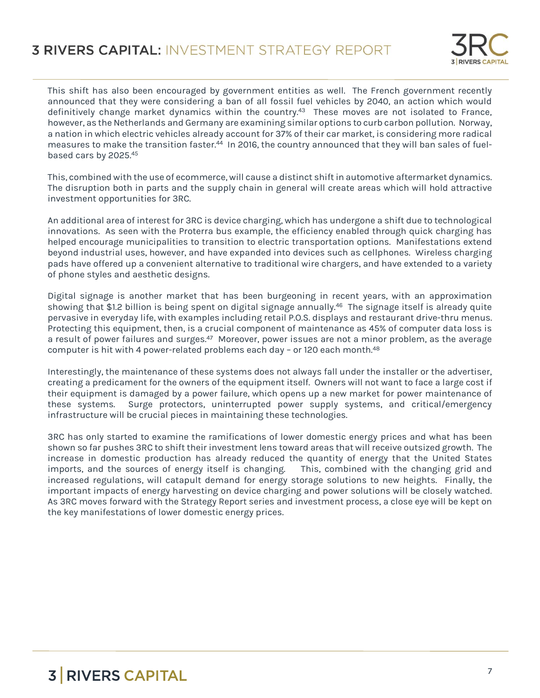

This shift has also been encouraged by government entities as well. The French government recently announced that they were considering a ban of all fossil fuel vehicles by 2040, an action which would definitively change market dynamics within the country.<sup>43</sup> These moves are not isolated to France, however, as the Netherlands and Germany are examining similar options to curb carbon pollution. Norway, a nation in which electric vehicles already account for 37% of their car market, is considering more radical measures to make the transition faster.<sup>44</sup> In 2016, the country announced that they will ban sales of fuelbased cars by 2025.<sup>45</sup>

This, combined with the use of ecommerce, will cause a distinct shift in automotive aftermarket dynamics. The disruption both in parts and the supply chain in general will create areas which will hold attractive investment opportunities for 3RC.

An additional area of interest for 3RC is device charging, which has undergone a shift due to technological innovations. As seen with the Proterra bus example, the efficiency enabled through quick charging has helped encourage municipalities to transition to electric transportation options. Manifestations extend beyond industrial uses, however, and have expanded into devices such as cellphones. Wireless charging pads have offered up a convenient alternative to traditional wire chargers, and have extended to a variety of phone styles and aesthetic designs.

Digital signage is another market that has been burgeoning in recent years, with an approximation showing that \$1.2 billion is being spent on digital signage annually.<sup>46</sup> The signage itself is already quite pervasive in everyday life, with examples including retail P.O.S. displays and restaurant drive-thru menus. Protecting this equipment, then, is a crucial component of maintenance as 45% of computer data loss is a result of power failures and surges.<sup>47</sup> Moreover, power issues are not a minor problem, as the average computer is hit with 4 power-related problems each day - or 120 each month.<sup>48</sup>

Interestingly, the maintenance of these systems does not always fall under the installer or the advertiser, creating a predicament for the owners of the equipment itself. Owners will not want to face a large cost if their equipment is damaged by a power failure, which opens up a new market for power maintenance of these systems. Surge protectors, uninterrupted power supply systems, and critical/emergency infrastructure will be crucial pieces in maintaining these technologies.

3RC has only started to examine the ramifications of lower domestic energy prices and what has been shown so far pushes 3RC to shift their investment lens toward areas that will receive outsized growth. The increase in domestic production has already reduced the quantity of energy that the United States imports, and the sources of energy itself is changing. This, combined with the changing grid and increased regulations, will catapult demand for energy storage solutions to new heights. Finally, the important impacts of energy harvesting on device charging and power solutions will be closely watched. As 3RC moves forward with the Strategy Report series and investment process, a close eye will be kept on the key manifestations of lower domestic energy prices.